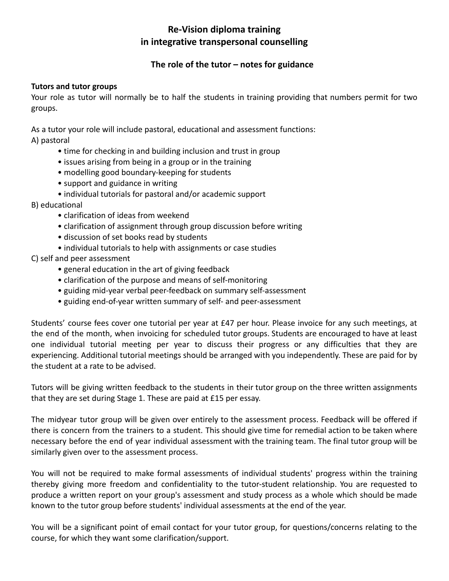## **Re-Vision diploma training in integrative transpersonal counselling**

## **The role of the tutor – notes for guidance**

## **Tutors and tutor groups**

Your role as tutor will normally be to half the students in training providing that numbers permit for two groups.

As a tutor your role will include pastoral, educational and assessment functions: A) pastoral

- time for checking in and building inclusion and trust in group
- issues arising from being in a group or in the training
- modelling good boundary-keeping for students
- support and guidance in writing
- individual tutorials for pastoral and/or academic support

## B) educational

- clarification of ideas from weekend
- clarification of assignment through group discussion before writing
- discussion of set books read by students
- individual tutorials to help with assignments or case studies

C) self and peer assessment

- general education in the art of giving feedback
- clarification of the purpose and means of self-monitoring
- guiding mid-year verbal peer-feedback on summary self-assessment
- guiding end-of-year written summary of self- and peer-assessment

Students' course fees cover one tutorial per year at £47 per hour. Please invoice for any such meetings, at the end of the month, when invoicing for scheduled tutor groups. Students are encouraged to have at least one individual tutorial meeting per year to discuss their progress or any difficulties that they are experiencing. Additional tutorial meetings should be arranged with you independently. These are paid for by the student at a rate to be advised.

Tutors will be giving written feedback to the students in their tutor group on the three written assignments that they are set during Stage 1. These are paid at £15 per essay.

The midyear tutor group will be given over entirely to the assessment process. Feedback will be offered if there is concern from the trainers to a student. This should give time for remedial action to be taken where necessary before the end of year individual assessment with the training team. The final tutor group will be similarly given over to the assessment process.

You will not be required to make formal assessments of individual students' progress within the training thereby giving more freedom and confidentiality to the tutor-student relationship. You are requested to produce a written report on your group's assessment and study process as a whole which should be made known to the tutor group before students' individual assessments at the end of the year.

You will be a significant point of email contact for your tutor group, for questions/concerns relating to the course, for which they want some clarification/support.